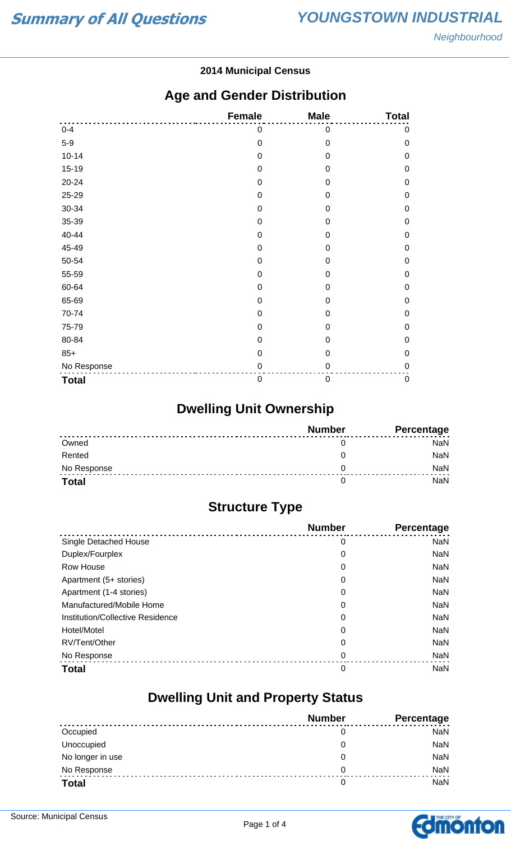#### **2014 Municipal Census**

### **Age and Gender Distribution**

|              | <b>Female</b> | <b>Male</b>      | <b>Total</b>     |
|--------------|---------------|------------------|------------------|
| $0 - 4$      | 0             | 0                | $\pmb{0}$        |
| $5-9$        | $\mathbf 0$   | $\mathbf 0$      | $\mathbf 0$      |
| $10 - 14$    | $\mathbf 0$   | $\mathbf 0$      | $\mathbf 0$      |
| $15-19$      | $\mathbf 0$   | 0                | $\mathbf 0$      |
| 20-24        | $\mathbf 0$   | 0                | $\mathbf 0$      |
| 25-29        | $\mathbf 0$   | $\mathbf 0$      | $\mathbf 0$      |
| 30-34        | $\mathbf 0$   | 0                | $\mathbf 0$      |
| 35-39        | $\mathbf 0$   | 0                | $\mathbf 0$      |
| 40-44        | $\mathbf 0$   | 0                | $\mathbf 0$      |
| 45-49        | $\mathbf 0$   | 0                | $\mathbf 0$      |
| 50-54        | $\mathbf 0$   | $\mathbf 0$      | $\mathbf 0$      |
| 55-59        | $\mathbf 0$   | 0                | $\boldsymbol{0}$ |
| 60-64        | 0             | 0                | $\mathbf 0$      |
| 65-69        | $\mathbf 0$   | 0                | $\mathbf 0$      |
| 70-74        | $\mathbf 0$   | $\mathbf 0$      | $\mathbf 0$      |
| 75-79        | $\mathbf 0$   | $\overline{0}$   | $\mathbf 0$      |
| 80-84        | 0             | 0                | $\mathbf 0$      |
| $85+$        | $\mathbf 0$   | $\mathbf 0$      | $\mathbf 0$      |
| No Response  | $\mathbf 0$   | $\mathbf 0$      | $\mathbf 0$      |
| <b>Total</b> | $\mathbf 0$   | $\boldsymbol{0}$ | $\pmb{0}$        |

## **Dwelling Unit Ownership**

|              | <b>Number</b> | Percentage |
|--------------|---------------|------------|
| Owned        |               | NaN        |
| Rented       |               | <b>NaN</b> |
| No Response  |               | <b>NaN</b> |
| <b>Total</b> |               | NaN        |

## **Structure Type**

|                                  | <b>Number</b> | <b>Percentage</b> |
|----------------------------------|---------------|-------------------|
| <b>Single Detached House</b>     | 0             | <b>NaN</b>        |
| Duplex/Fourplex                  | 0             | <b>NaN</b>        |
| <b>Row House</b>                 | 0             | <b>NaN</b>        |
| Apartment (5+ stories)           | 0             | <b>NaN</b>        |
| Apartment (1-4 stories)          | 0             | <b>NaN</b>        |
| Manufactured/Mobile Home         | 0             | <b>NaN</b>        |
| Institution/Collective Residence | 0             | <b>NaN</b>        |
| Hotel/Motel                      | 0             | <b>NaN</b>        |
| RV/Tent/Other                    | 0             | <b>NaN</b>        |
| No Response                      | 0             | <b>NaN</b>        |
| <b>Total</b>                     | 0             | <b>NaN</b>        |

### **Dwelling Unit and Property Status**

|                  | <b>Number</b> | <b>Percentage</b> |
|------------------|---------------|-------------------|
| Occupied         | 0             | <b>NaN</b>        |
| Unoccupied       | O             | NaN               |
| No longer in use | 0             | NaN               |
| No Response      | 0             | <b>NaN</b>        |
| <b>Total</b>     |               | NaN               |

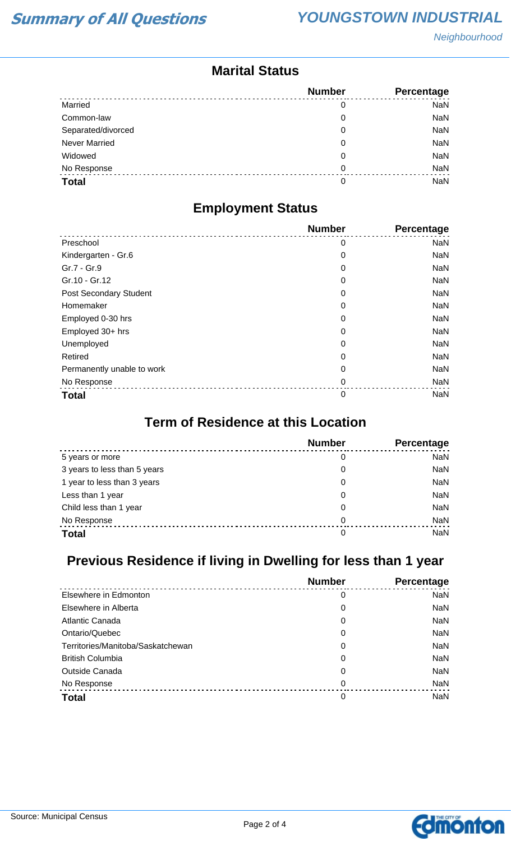Neighbourhood

### **Marital Status**

|                      | <b>Number</b> | <b>Percentage</b> |
|----------------------|---------------|-------------------|
| Married              | 0             | <b>NaN</b>        |
| Common-law           | 0             | <b>NaN</b>        |
| Separated/divorced   | 0             | <b>NaN</b>        |
| <b>Never Married</b> | 0             | <b>NaN</b>        |
| Widowed              | 0             | <b>NaN</b>        |
| No Response          | 0             | <b>NaN</b>        |
| <b>Total</b>         | 0             | <b>NaN</b>        |

### **Employment Status**

|                            | <b>Number</b> | <b>Percentage</b> |
|----------------------------|---------------|-------------------|
| Preschool                  | 0             | <b>NaN</b>        |
| Kindergarten - Gr.6        | 0             | <b>NaN</b>        |
| Gr.7 - Gr.9                | 0             | <b>NaN</b>        |
| Gr.10 - Gr.12              | 0             | <b>NaN</b>        |
| Post Secondary Student     | 0             | <b>NaN</b>        |
| Homemaker                  | 0             | <b>NaN</b>        |
| Employed 0-30 hrs          | 0             | <b>NaN</b>        |
| Employed 30+ hrs           | 0             | <b>NaN</b>        |
| Unemployed                 | 0             | <b>NaN</b>        |
| Retired                    | 0             | <b>NaN</b>        |
| Permanently unable to work | 0             | <b>NaN</b>        |
| No Response                | 0             | <b>NaN</b>        |
| <b>Total</b>               | 0             | <b>NaN</b>        |

#### **Term of Residence at this Location**

|                              | <b>Number</b> | Percentage |
|------------------------------|---------------|------------|
| 5 years or more              | 0             | <b>NaN</b> |
| 3 years to less than 5 years | 0             | <b>NaN</b> |
| 1 year to less than 3 years  | 0             | <b>NaN</b> |
| Less than 1 year             | 0             | <b>NaN</b> |
| Child less than 1 year       | 0             | <b>NaN</b> |
| No Response                  | 0             | <b>NaN</b> |
| <b>Total</b>                 | 0             | <b>NaN</b> |

## **Previous Residence if living in Dwelling for less than 1 year**

|                                   | <b>Number</b> | Percentage |
|-----------------------------------|---------------|------------|
| Elsewhere in Edmonton             | 0             | <b>NaN</b> |
| Elsewhere in Alberta              | 0             | <b>NaN</b> |
| Atlantic Canada                   | 0             | <b>NaN</b> |
| Ontario/Quebec                    | 0             | <b>NaN</b> |
| Territories/Manitoba/Saskatchewan | 0             | <b>NaN</b> |
| <b>British Columbia</b>           | 0             | <b>NaN</b> |
| <b>Outside Canada</b>             | 0             | <b>NaN</b> |
| No Response                       | 0             | <b>NaN</b> |
| <b>Total</b>                      | 0             | <b>NaN</b> |

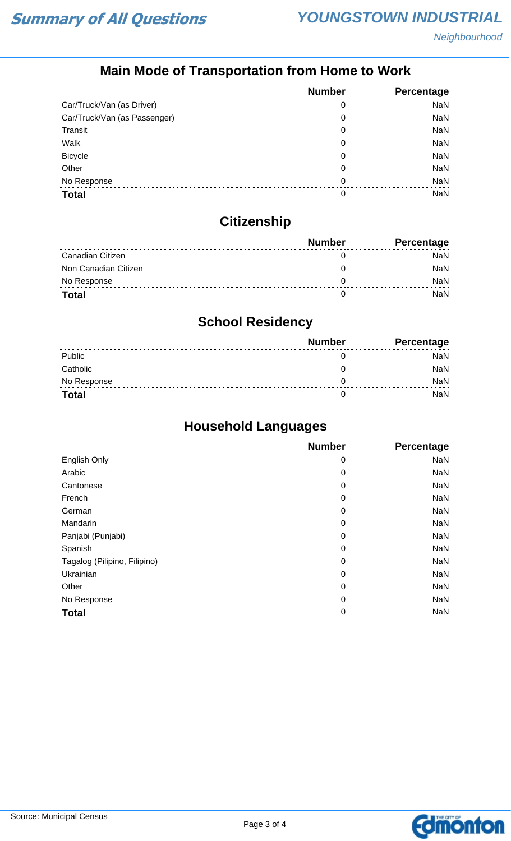## **Main Mode of Transportation from Home to Work**

|                              | <b>Number</b> | Percentage |
|------------------------------|---------------|------------|
| Car/Truck/Van (as Driver)    | 0             | <b>NaN</b> |
| Car/Truck/Van (as Passenger) | 0             | <b>NaN</b> |
| Transit                      | 0             | <b>NaN</b> |
| Walk                         | 0             | <b>NaN</b> |
| <b>Bicycle</b>               | 0             | <b>NaN</b> |
| Other                        | 0             | <b>NaN</b> |
| No Response                  | 0             | <b>NaN</b> |
| <b>Total</b>                 | 0             | NaN        |

## **Citizenship**

|                      | <b>Number</b> | <b>Percentage</b> |
|----------------------|---------------|-------------------|
| Canadian Citizen     |               | NaN               |
| Non Canadian Citizen |               | <b>NaN</b>        |
| No Response          |               | <b>NaN</b>        |
| <b>Total</b>         |               | NaN               |

# **School Residency**

|              | <b>Number</b> | Percentage |
|--------------|---------------|------------|
| Public       |               | NaN        |
| Catholic     |               | NaN        |
| No Response  |               | <b>NaN</b> |
| <b>Total</b> |               | NaN        |

## **Household Languages**

|                              | <b>Number</b> | <b>Percentage</b> |
|------------------------------|---------------|-------------------|
| English Only                 | 0             | <b>NaN</b>        |
| Arabic                       | $\mathbf 0$   | <b>NaN</b>        |
| Cantonese                    | 0             | <b>NaN</b>        |
| French                       | 0             | <b>NaN</b>        |
| German                       | $\mathbf 0$   | <b>NaN</b>        |
| Mandarin                     | 0             | <b>NaN</b>        |
| Panjabi (Punjabi)            | 0             | <b>NaN</b>        |
| Spanish                      | 0             | <b>NaN</b>        |
| Tagalog (Pilipino, Filipino) | 0             | <b>NaN</b>        |
| Ukrainian                    | 0             | <b>NaN</b>        |
| Other                        | 0             | <b>NaN</b>        |
| No Response                  | 0             | <b>NaN</b>        |
| <b>Total</b>                 | $\mathbf 0$   | <b>NaN</b>        |